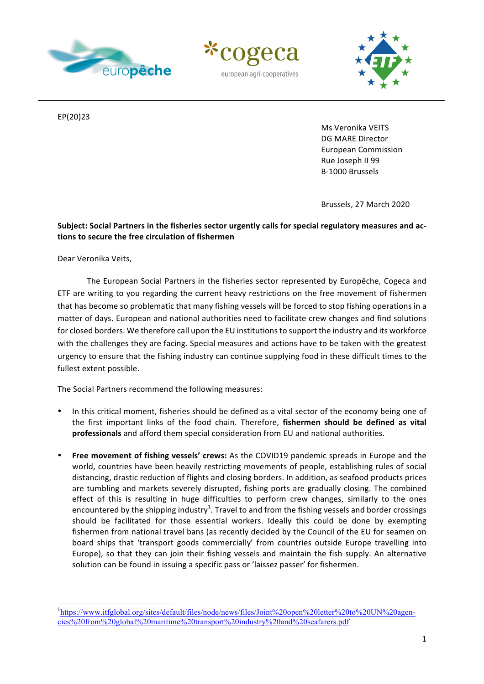





EP(20)23

Ms Veronika VEITS DG MARE Director European Commission Rue Joseph II 99 B-1000 Brussels 

Brussels, 27 March 2020

## Subject: Social Partners in the fisheries sector urgently calls for special regulatory measures and ac**tions to secure the free circulation of fishermen**

Dear Veronika Veits,

The European Social Partners in the fisheries sector represented by Europêche, Cogeca and ETF are writing to you regarding the current heavy restrictions on the free movement of fishermen that has become so problematic that many fishing vessels will be forced to stop fishing operations in a matter of days. European and national authorities need to facilitate crew changes and find solutions for closed borders. We therefore call upon the EU institutions to support the industry and its workforce with the challenges they are facing. Special measures and actions have to be taken with the greatest urgency to ensure that the fishing industry can continue supplying food in these difficult times to the fullest extent possible.

The Social Partners recommend the following measures:

 

- In this critical moment, fisheries should be defined as a vital sector of the economy being one of the first important links of the food chain. Therefore, fishermen should be defined as vital **professionals** and afford them special consideration from EU and national authorities.
- **Free movement of fishing vessels' crews:** As the COVID19 pandemic spreads in Europe and the world, countries have been heavily restricting movements of people, establishing rules of social distancing, drastic reduction of flights and closing borders. In addition, as seafood products prices are tumbling and markets severely disrupted, fishing ports are gradually closing. The combined effect of this is resulting in huge difficulties to perform crew changes, similarly to the ones encountered by the shipping industry<sup>1</sup>. Travel to and from the fishing vessels and border crossings should be facilitated for those essential workers. Ideally this could be done by exempting fishermen from national travel bans (as recently decided by the Council of the EU for seamen on board ships that 'transport goods commercially' from countries outside Europe travelling into Europe), so that they can join their fishing vessels and maintain the fish supply. An alternative solution can be found in issuing a specific pass or 'laissez passer' for fishermen.

<sup>&</sup>lt;sup>1</sup>https://www.itfglobal.org/sites/default/files/node/news/files/Joint%20open%20letter%20to%20UN%20agencies%20from%20global%20maritime%20transport%20industry%20and%20seafarers.pdf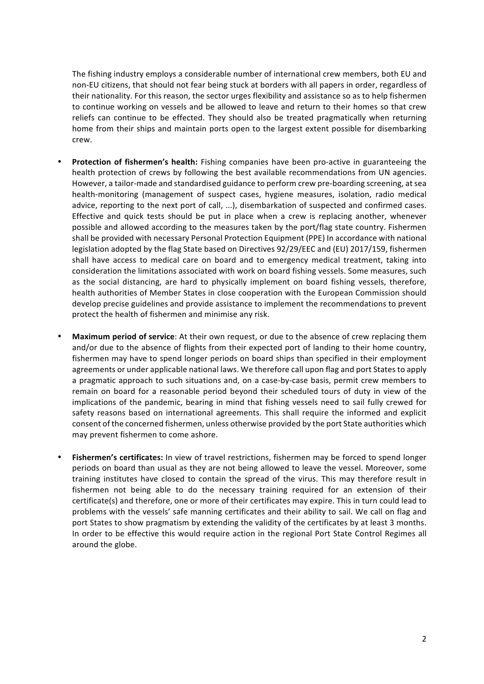The fishing industry employs a considerable number of international crew members, both EU and non-EU citizens, that should not fear being stuck at borders with all papers in order, regardless of their nationality. For this reason, the sector urges flexibility and assistance so as to help fishermen to continue working on vessels and be allowed to leave and return to their homes so that crew reliefs can continue to be effected. They should also be treated pragmatically when returning home from their ships and maintain ports open to the largest extent possible for disembarking crew. 

- **Protection of fishermen's health:** Fishing companies have been pro-active in guaranteeing the health protection of crews by following the best available recommendations from UN agencies. However, a tailor-made and standardised guidance to perform crew pre-boarding screening, at sea health-monitoring (management of suspect cases, hygiene measures, isolation, radio medical advice, reporting to the next port of call, ...), disembarkation of suspected and confirmed cases. Effective and quick tests should be put in place when a crew is replacing another, whenever possible and allowed according to the measures taken by the port/flag state country. Fishermen shall be provided with necessary Personal Protection Equipment (PPE) In accordance with national legislation adopted by the flag State based on Directives 92/29/EEC and (EU) 2017/159, fishermen shall have access to medical care on board and to emergency medical treatment, taking into consideration the limitations associated with work on board fishing vessels. Some measures, such as the social distancing, are hard to physically implement on board fishing vessels, therefore, health authorities of Member States in close cooperation with the European Commission should develop precise guidelines and provide assistance to implement the recommendations to prevent protect the health of fishermen and minimise any risk.
- **Maximum period of service**: At their own request, or due to the absence of crew replacing them and/or due to the absence of flights from their expected port of landing to their home country, fishermen may have to spend longer periods on board ships than specified in their employment agreements or under applicable national laws. We therefore call upon flag and port States to apply a pragmatic approach to such situations and, on a case-by-case basis, permit crew members to remain on board for a reasonable period beyond their scheduled tours of duty in view of the implications of the pandemic, bearing in mind that fishing vessels need to sail fully crewed for safety reasons based on international agreements. This shall require the informed and explicit consent of the concerned fishermen, unless otherwise provided by the port State authorities which may prevent fishermen to come ashore.
- **Fishermen's certificates:** In view of travel restrictions, fishermen may be forced to spend longer periods on board than usual as they are not being allowed to leave the vessel. Moreover, some training institutes have closed to contain the spread of the virus. This may therefore result in fishermen not being able to do the necessary training required for an extension of their certificate(s) and therefore, one or more of their certificates may expire. This in turn could lead to problems with the vessels' safe manning certificates and their ability to sail. We call on flag and port States to show pragmatism by extending the validity of the certificates by at least 3 months. In order to be effective this would require action in the regional Port State Control Regimes all around the globe.